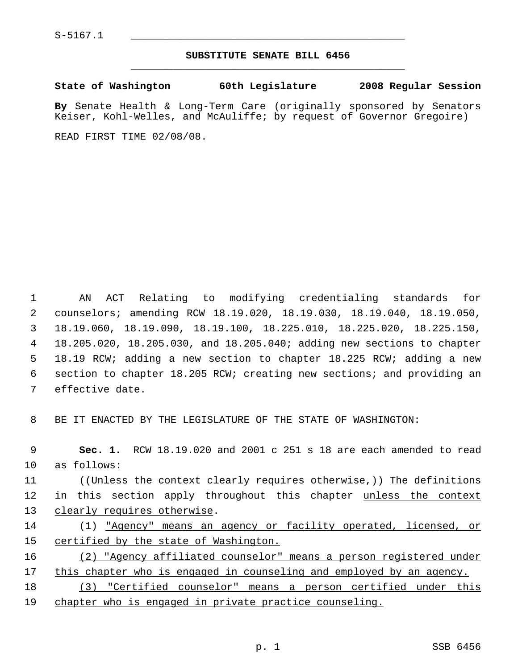S-5167.1 \_\_\_\_\_\_\_\_\_\_\_\_\_\_\_\_\_\_\_\_\_\_\_\_\_\_\_\_\_\_\_\_\_\_\_\_\_\_\_\_\_\_\_\_\_

## **SUBSTITUTE SENATE BILL 6456** \_\_\_\_\_\_\_\_\_\_\_\_\_\_\_\_\_\_\_\_\_\_\_\_\_\_\_\_\_\_\_\_\_\_\_\_\_\_\_\_\_\_\_\_\_

**State of Washington 60th Legislature 2008 Regular Session**

**By** Senate Health & Long-Term Care (originally sponsored by Senators Keiser, Kohl-Welles, and McAuliffe; by request of Governor Gregoire)

READ FIRST TIME 02/08/08.

 AN ACT Relating to modifying credentialing standards for counselors; amending RCW 18.19.020, 18.19.030, 18.19.040, 18.19.050, 18.19.060, 18.19.090, 18.19.100, 18.225.010, 18.225.020, 18.225.150, 18.205.020, 18.205.030, and 18.205.040; adding new sections to chapter 18.19 RCW; adding a new section to chapter 18.225 RCW; adding a new section to chapter 18.205 RCW; creating new sections; and providing an effective date.

8 BE IT ENACTED BY THE LEGISLATURE OF THE STATE OF WASHINGTON:

 **Sec. 1.** RCW 18.19.020 and 2001 c 251 s 18 are each amended to read as follows: 11 ((<del>Unless the context clearly requires otherwise,</del>)) The definitions 12 in this section apply throughout this chapter unless the context 13 clearly requires otherwise. (1) "Agency" means an agency or facility operated, licensed, or certified by the state of Washington. (2) "Agency affiliated counselor" means a person registered under

17 this chapter who is engaged in counseling and employed by an agency.

18 (3) "Certified counselor" means a person certified under this 19 chapter who is engaged in private practice counseling.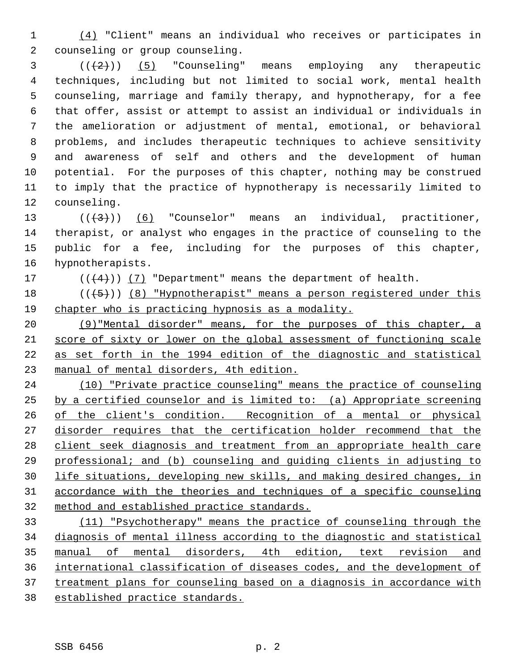(4) "Client" means an individual who receives or participates in counseling or group counseling.

  $((+2))$  (5) "Counseling" means employing any therapeutic techniques, including but not limited to social work, mental health counseling, marriage and family therapy, and hypnotherapy, for a fee that offer, assist or attempt to assist an individual or individuals in the amelioration or adjustment of mental, emotional, or behavioral problems, and includes therapeutic techniques to achieve sensitivity and awareness of self and others and the development of human potential. For the purposes of this chapter, nothing may be construed to imply that the practice of hypnotherapy is necessarily limited to counseling.

 $((\langle 3 \rangle))$  (6) "Counselor" means an individual, practitioner, therapist, or analyst who engages in the practice of counseling to the public for a fee, including for the purposes of this chapter, hypnotherapists.

17  $((4+))$  (7) "Department" means the department of health.

18  $((+5))$  (8) "Hypnotherapist" means a person registered under this chapter who is practicing hypnosis as a modality.

 (9)"Mental disorder" means, for the purposes of this chapter, a score of sixty or lower on the global assessment of functioning scale as set forth in the 1994 edition of the diagnostic and statistical manual of mental disorders, 4th edition.

 (10) "Private practice counseling" means the practice of counseling by a certified counselor and is limited to: (a) Appropriate screening of the client's condition. Recognition of a mental or physical 27 disorder requires that the certification holder recommend that the client seek diagnosis and treatment from an appropriate health care professional; and (b) counseling and guiding clients in adjusting to life situations, developing new skills, and making desired changes, in accordance with the theories and techniques of a specific counseling method and established practice standards.

 (11) "Psychotherapy" means the practice of counseling through the diagnosis of mental illness according to the diagnostic and statistical manual of mental disorders, 4th edition, text revision and international classification of diseases codes, and the development of 37 treatment plans for counseling based on a diagnosis in accordance with established practice standards.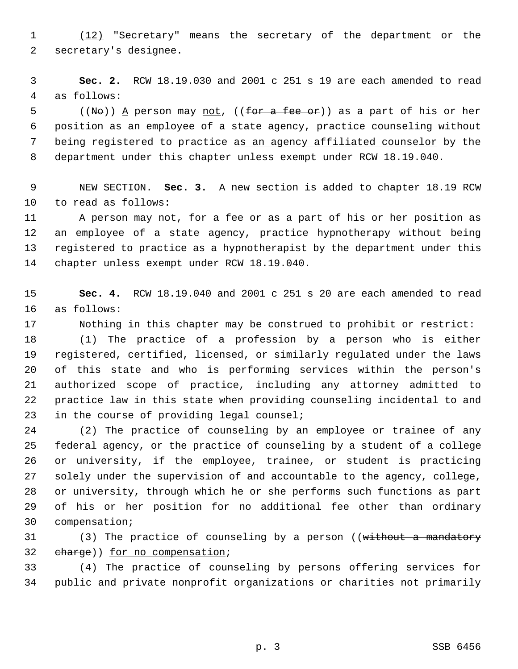(12) "Secretary" means the secretary of the department or the secretary's designee.

 **Sec. 2.** RCW 18.19.030 and 2001 c 251 s 19 are each amended to read as follows:

 ((No)) <u>A</u> person may <u>not</u>, ((for a fee or)) as a part of his or her position as an employee of a state agency, practice counseling without 7 being registered to practice as an agency affiliated counselor by the department under this chapter unless exempt under RCW 18.19.040.

 NEW SECTION. **Sec. 3.** A new section is added to chapter 18.19 RCW to read as follows:

 A person may not, for a fee or as a part of his or her position as an employee of a state agency, practice hypnotherapy without being registered to practice as a hypnotherapist by the department under this chapter unless exempt under RCW 18.19.040.

 **Sec. 4.** RCW 18.19.040 and 2001 c 251 s 20 are each amended to read as follows:

Nothing in this chapter may be construed to prohibit or restrict:

 (1) The practice of a profession by a person who is either registered, certified, licensed, or similarly regulated under the laws of this state and who is performing services within the person's authorized scope of practice, including any attorney admitted to practice law in this state when providing counseling incidental to and in the course of providing legal counsel;

 (2) The practice of counseling by an employee or trainee of any federal agency, or the practice of counseling by a student of a college or university, if the employee, trainee, or student is practicing solely under the supervision of and accountable to the agency, college, or university, through which he or she performs such functions as part of his or her position for no additional fee other than ordinary compensation;

31 (3) The practice of counseling by a person ((without a mandatory charge)) for no compensation;

 (4) The practice of counseling by persons offering services for public and private nonprofit organizations or charities not primarily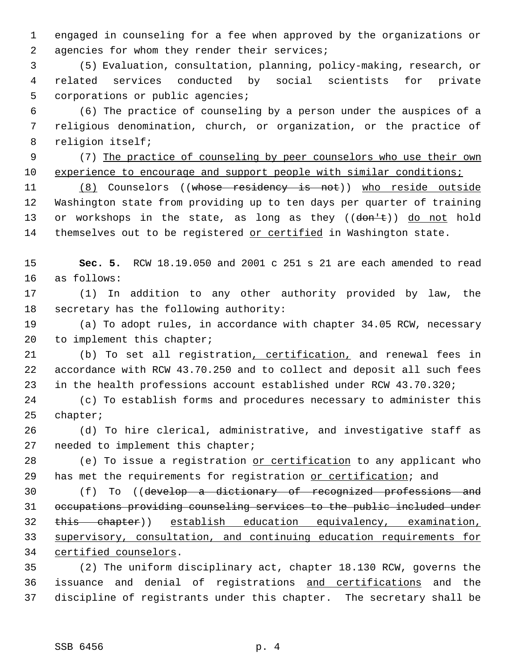engaged in counseling for a fee when approved by the organizations or 2 agencies for whom they render their services;

 (5) Evaluation, consultation, planning, policy-making, research, or related services conducted by social scientists for private corporations or public agencies;

 (6) The practice of counseling by a person under the auspices of a religious denomination, church, or organization, or the practice of religion itself;

 (7) The practice of counseling by peer counselors who use their own 10 experience to encourage and support people with similar conditions;

11 (8) Counselors ((whose residency is not)) who reside outside Washington state from providing up to ten days per quarter of training 13 or workshops in the state, as long as they ((don't)) do not hold 14 themselves out to be registered or certified in Washington state.

 **Sec. 5.** RCW 18.19.050 and 2001 c 251 s 21 are each amended to read as follows:

 (1) In addition to any other authority provided by law, the secretary has the following authority:

 (a) To adopt rules, in accordance with chapter 34.05 RCW, necessary 20 to implement this chapter;

 (b) To set all registration, certification, and renewal fees in accordance with RCW 43.70.250 and to collect and deposit all such fees in the health professions account established under RCW 43.70.320;

 (c) To establish forms and procedures necessary to administer this chapter;

 (d) To hire clerical, administrative, and investigative staff as needed to implement this chapter;

28 (e) To issue a registration or certification to any applicant who 29 has met the requirements for registration or certification; and

30 (f) To ((develop a dictionary of recognized professions and occupations providing counseling services to the public included under this chapter)) establish education equivalency, examination, supervisory, consultation, and continuing education requirements for certified counselors.

 (2) The uniform disciplinary act, chapter 18.130 RCW, governs the issuance and denial of registrations and certifications and the discipline of registrants under this chapter. The secretary shall be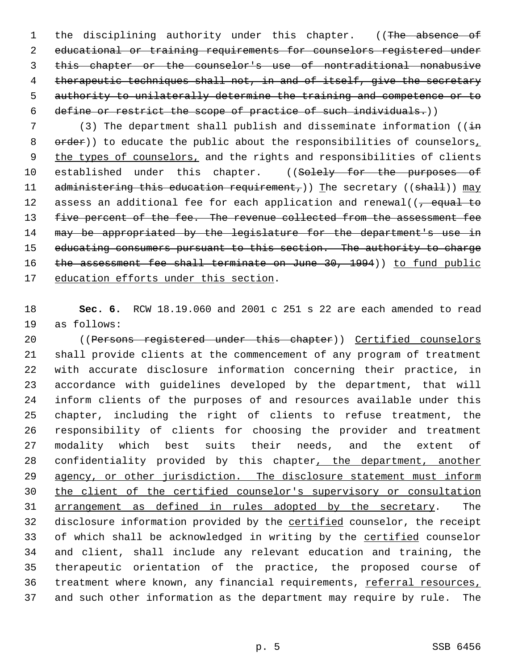1 the disciplining authority under this chapter. ((The absence of educational or training requirements for counselors registered under this chapter or the counselor's use of nontraditional nonabusive 4 therapeutic techniques shall not, in and of itself, give the secretary authority to unilaterally determine the training and competence or to define or restrict the scope of practice of such individuals.))

7 (3) The department shall publish and disseminate information ( $(i+n)$ 8 order)) to educate the public about the responsibilities of counselors, 9 the types of counselors, and the rights and responsibilities of clients 10 established under this chapter. ((Solely for the purposes of 11 administering this education requirement,)) The secretary ((shall))  $\text{may}$ 12 assess an additional fee for each application and renewal( $\sqrt{t}$  equal to 13 five percent of the fee. The revenue collected from the assessment fee 14 may be appropriated by the legislature for the department's use in 15 educating consumers pursuant to this section. The authority to charge 16 the assessment fee shall terminate on June 30, 1994)) to fund public 17 education efforts under this section.

18 **Sec. 6.** RCW 18.19.060 and 2001 c 251 s 22 are each amended to read 19 as follows:

 ((Persons registered under this chapter)) Certified counselors shall provide clients at the commencement of any program of treatment with accurate disclosure information concerning their practice, in accordance with guidelines developed by the department, that will inform clients of the purposes of and resources available under this chapter, including the right of clients to refuse treatment, the responsibility of clients for choosing the provider and treatment modality which best suits their needs, and the extent of 28 confidentiality provided by this chapter, the department, another 29 agency, or other jurisdiction. The disclosure statement must inform the client of the certified counselor's supervisory or consultation arrangement as defined in rules adopted by the secretary. The 32 disclosure information provided by the certified counselor, the receipt 33 of which shall be acknowledged in writing by the certified counselor and client, shall include any relevant education and training, the therapeutic orientation of the practice, the proposed course of 36 treatment where known, any financial requirements, referral resources, and such other information as the department may require by rule. The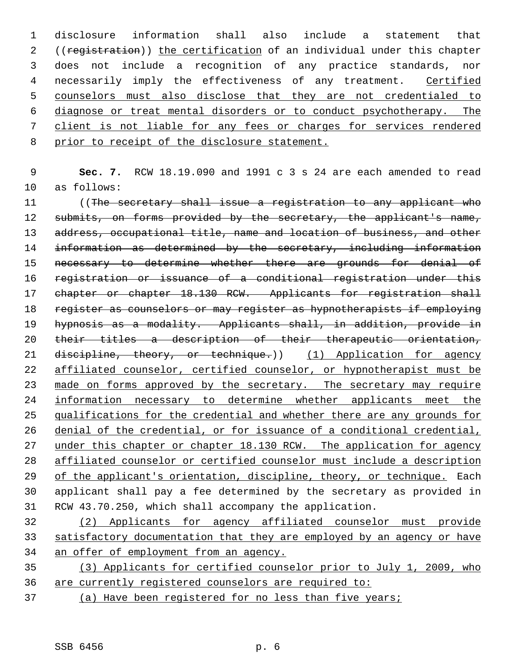disclosure information shall also include a statement that 2 ((registration)) the certification of an individual under this chapter does not include a recognition of any practice standards, nor 4 necessarily imply the effectiveness of any treatment. Certified counselors must also disclose that they are not credentialed to diagnose or treat mental disorders or to conduct psychotherapy. The client is not liable for any fees or charges for services rendered 8 prior to receipt of the disclosure statement.

 9 **Sec. 7.** RCW 18.19.090 and 1991 c 3 s 24 are each amended to read 10 as follows:

11 ((The secretary shall issue a registration to any applicant who 12 submits, on forms provided by the secretary, the applicant's name, 13 address, occupational title, name and location of business, and other 14 information as determined by the secretary, including information 15 necessary to determine whether there are grounds for denial of 16 registration or issuance of a conditional registration under this 17 chapter or chapter 18.130 RCW. Applicants for registration shall 18 register as counselors or may register as hypnotherapists if employing 19 hypnosis as a modality. Applicants shall, in addition, provide in 20 their titles a description of their therapeutic orientation, 21 discipline, theory, or technique.)) (1) Application for agency 22 affiliated counselor, certified counselor, or hypnotherapist must be 23 made on forms approved by the secretary. The secretary may require 24 information necessary to determine whether applicants meet the 25 qualifications for the credential and whether there are any grounds for 26 denial of the credential, or for issuance of a conditional credential, 27 under this chapter or chapter 18.130 RCW. The application for agency 28 affiliated counselor or certified counselor must include a description 29 of the applicant's orientation, discipline, theory, or technique. Each 30 applicant shall pay a fee determined by the secretary as provided in 31 RCW 43.70.250, which shall accompany the application.

32 (2) Applicants for agency affiliated counselor must provide 33 satisfactory documentation that they are employed by an agency or have 34 an offer of employment from an agency.

35 (3) Applicants for certified counselor prior to July 1, 2009, who 36 are currently registered counselors are required to:

37 (a) Have been registered for no less than five years;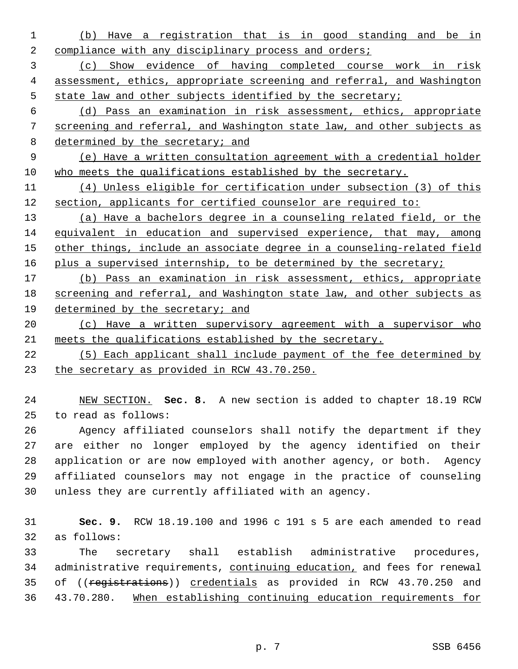(b) Have a registration that is in good standing and be in 2 compliance with any disciplinary process and orders;

 (c) Show evidence of having completed course work in risk assessment, ethics, appropriate screening and referral, and Washington state law and other subjects identified by the secretary;

 (d) Pass an examination in risk assessment, ethics, appropriate screening and referral, and Washington state law, and other subjects as 8 determined by the secretary; and

 (e) Have a written consultation agreement with a credential holder who meets the qualifications established by the secretary.

 (4) Unless eligible for certification under subsection (3) of this section, applicants for certified counselor are required to:

 (a) Have a bachelors degree in a counseling related field, or the equivalent in education and supervised experience, that may, among 15 other things, include an associate degree in a counseling-related field 16 plus a supervised internship, to be determined by the secretary;

 (b) Pass an examination in risk assessment, ethics, appropriate screening and referral, and Washington state law, and other subjects as determined by the secretary; and

 (c) Have a written supervisory agreement with a supervisor who meets the qualifications established by the secretary.

 (5) Each applicant shall include payment of the fee determined by the secretary as provided in RCW 43.70.250.

 NEW SECTION. **Sec. 8.** A new section is added to chapter 18.19 RCW to read as follows:

 Agency affiliated counselors shall notify the department if they are either no longer employed by the agency identified on their application or are now employed with another agency, or both. Agency affiliated counselors may not engage in the practice of counseling unless they are currently affiliated with an agency.

 **Sec. 9.** RCW 18.19.100 and 1996 c 191 s 5 are each amended to read as follows:

 The secretary shall establish administrative procedures, administrative requirements, continuing education, and fees for renewal 35 of ((registrations)) credentials as provided in RCW 43.70.250 and 43.70.280. When establishing continuing education requirements for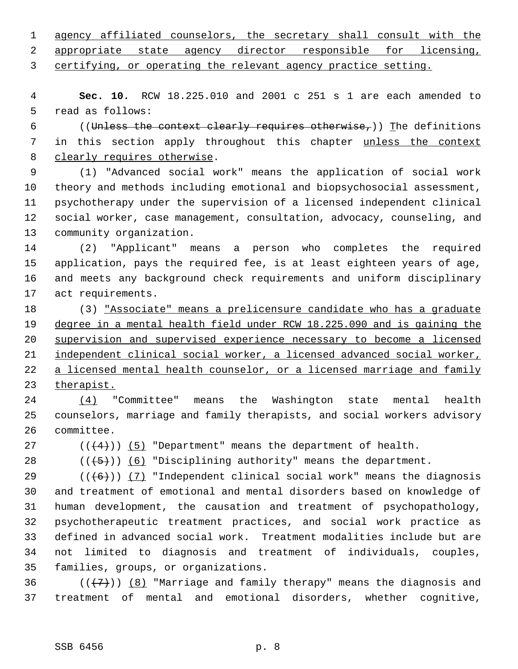agency affiliated counselors, the secretary shall consult with the

appropriate state agency director responsible for licensing,

certifying, or operating the relevant agency practice setting.

 **Sec. 10.** RCW 18.225.010 and 2001 c 251 s 1 are each amended to read as follows:

6 ((Unless the context clearly requires otherwise,)) The definitions 7 in this section apply throughout this chapter unless the context clearly requires otherwise.

 (1) "Advanced social work" means the application of social work theory and methods including emotional and biopsychosocial assessment, psychotherapy under the supervision of a licensed independent clinical social worker, case management, consultation, advocacy, counseling, and community organization.

 (2) "Applicant" means a person who completes the required application, pays the required fee, is at least eighteen years of age, and meets any background check requirements and uniform disciplinary act requirements.

 (3) "Associate" means a prelicensure candidate who has a graduate degree in a mental health field under RCW 18.225.090 and is gaining the supervision and supervised experience necessary to become a licensed independent clinical social worker, a licensed advanced social worker, 22 a licensed mental health counselor, or a licensed marriage and family therapist.

 (4) "Committee" means the Washington state mental health counselors, marriage and family therapists, and social workers advisory committee.

27  $((4+))$  (5) "Department" means the department of health.

28  $((\overline{5}))$  (6) "Disciplining authority" means the department.

 $((+6))$  (7) "Independent clinical social work" means the diagnosis and treatment of emotional and mental disorders based on knowledge of human development, the causation and treatment of psychopathology, psychotherapeutic treatment practices, and social work practice as defined in advanced social work. Treatment modalities include but are not limited to diagnosis and treatment of individuals, couples, families, groups, or organizations.

36  $((+7))$  (8) "Marriage and family therapy" means the diagnosis and treatment of mental and emotional disorders, whether cognitive,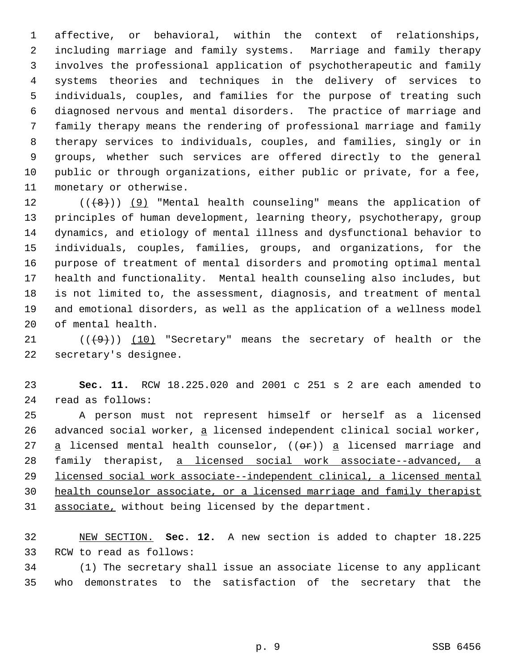affective, or behavioral, within the context of relationships, including marriage and family systems. Marriage and family therapy involves the professional application of psychotherapeutic and family systems theories and techniques in the delivery of services to individuals, couples, and families for the purpose of treating such diagnosed nervous and mental disorders. The practice of marriage and family therapy means the rendering of professional marriage and family therapy services to individuals, couples, and families, singly or in groups, whether such services are offered directly to the general public or through organizations, either public or private, for a fee, monetary or otherwise.

 $((+8))$  (9) "Mental health counseling" means the application of principles of human development, learning theory, psychotherapy, group dynamics, and etiology of mental illness and dysfunctional behavior to individuals, couples, families, groups, and organizations, for the purpose of treatment of mental disorders and promoting optimal mental health and functionality. Mental health counseling also includes, but is not limited to, the assessment, diagnosis, and treatment of mental and emotional disorders, as well as the application of a wellness model of mental health.

 $((+9))$  (10) "Secretary" means the secretary of health or the secretary's designee.

 **Sec. 11.** RCW 18.225.020 and 2001 c 251 s 2 are each amended to read as follows:

 A person must not represent himself or herself as a licensed 26 advanced social worker, a licensed independent clinical social worker,  $a$  licensed mental health counselor, (( $e^{2}$ )) a licensed marriage and family therapist, a licensed social work associate--advanced, a licensed social work associate--independent clinical, a licensed mental health counselor associate, or a licensed marriage and family therapist associate, without being licensed by the department.

 NEW SECTION. **Sec. 12.** A new section is added to chapter 18.225 RCW to read as follows:

 (1) The secretary shall issue an associate license to any applicant who demonstrates to the satisfaction of the secretary that the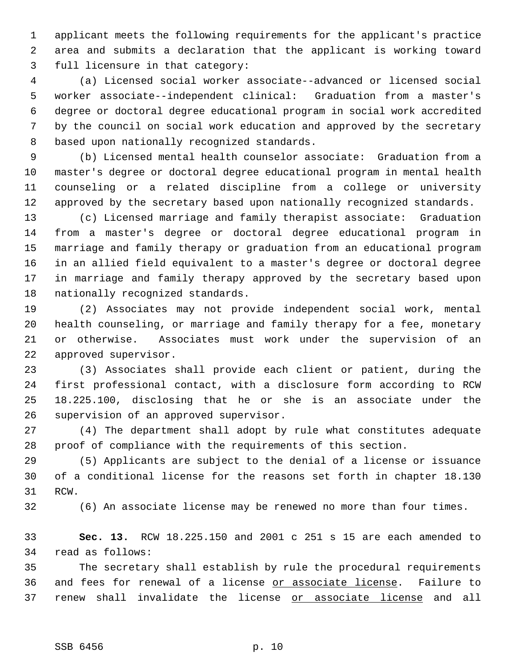applicant meets the following requirements for the applicant's practice area and submits a declaration that the applicant is working toward full licensure in that category:

 (a) Licensed social worker associate--advanced or licensed social worker associate--independent clinical: Graduation from a master's degree or doctoral degree educational program in social work accredited by the council on social work education and approved by the secretary based upon nationally recognized standards.

 (b) Licensed mental health counselor associate: Graduation from a master's degree or doctoral degree educational program in mental health counseling or a related discipline from a college or university approved by the secretary based upon nationally recognized standards.

 (c) Licensed marriage and family therapist associate: Graduation from a master's degree or doctoral degree educational program in marriage and family therapy or graduation from an educational program in an allied field equivalent to a master's degree or doctoral degree in marriage and family therapy approved by the secretary based upon nationally recognized standards.

 (2) Associates may not provide independent social work, mental health counseling, or marriage and family therapy for a fee, monetary or otherwise. Associates must work under the supervision of an approved supervisor.

 (3) Associates shall provide each client or patient, during the first professional contact, with a disclosure form according to RCW 18.225.100, disclosing that he or she is an associate under the supervision of an approved supervisor.

 (4) The department shall adopt by rule what constitutes adequate proof of compliance with the requirements of this section.

 (5) Applicants are subject to the denial of a license or issuance of a conditional license for the reasons set forth in chapter 18.130 RCW.

(6) An associate license may be renewed no more than four times.

 **Sec. 13.** RCW 18.225.150 and 2001 c 251 s 15 are each amended to read as follows:

 The secretary shall establish by rule the procedural requirements 36 and fees for renewal of a license or associate license. Failure to 37 renew shall invalidate the license or associate license and all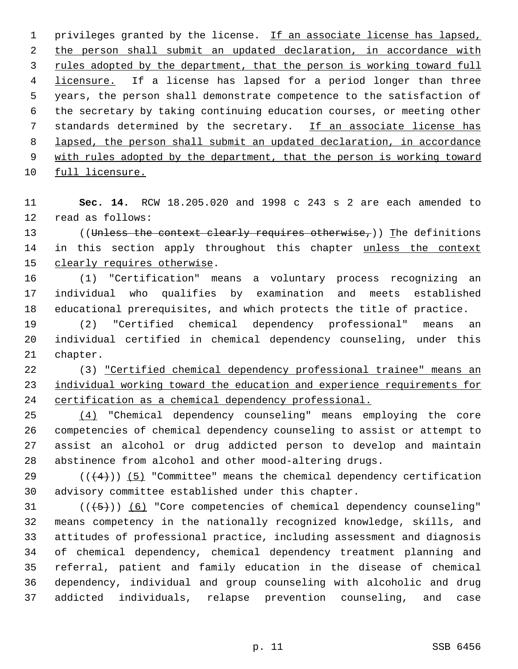1 privileges granted by the license. If an associate license has lapsed, 2 the person shall submit an updated declaration, in accordance with 3 rules adopted by the department, that the person is working toward full 4 licensure. If a license has lapsed for a period longer than three years, the person shall demonstrate competence to the satisfaction of the secretary by taking continuing education courses, or meeting other standards determined by the secretary. If an associate license has lapsed, the person shall submit an updated declaration, in accordance 9 with rules adopted by the department, that the person is working toward full licensure.

 **Sec. 14.** RCW 18.205.020 and 1998 c 243 s 2 are each amended to read as follows:

13 ((Unless the context clearly requires otherwise,)) The definitions 14 in this section apply throughout this chapter unless the context clearly requires otherwise.

 (1) "Certification" means a voluntary process recognizing an individual who qualifies by examination and meets established educational prerequisites, and which protects the title of practice.

 (2) "Certified chemical dependency professional" means an individual certified in chemical dependency counseling, under this chapter.

 (3) "Certified chemical dependency professional trainee" means an individual working toward the education and experience requirements for certification as a chemical dependency professional.

 (4) "Chemical dependency counseling" means employing the core competencies of chemical dependency counseling to assist or attempt to assist an alcohol or drug addicted person to develop and maintain abstinence from alcohol and other mood-altering drugs.

29  $((+4))$   $(5)$  "Committee" means the chemical dependency certification advisory committee established under this chapter.

 ( $(\overline{(+5)})$ ) (6) "Core competencies of chemical dependency counseling" means competency in the nationally recognized knowledge, skills, and attitudes of professional practice, including assessment and diagnosis of chemical dependency, chemical dependency treatment planning and referral, patient and family education in the disease of chemical dependency, individual and group counseling with alcoholic and drug addicted individuals, relapse prevention counseling, and case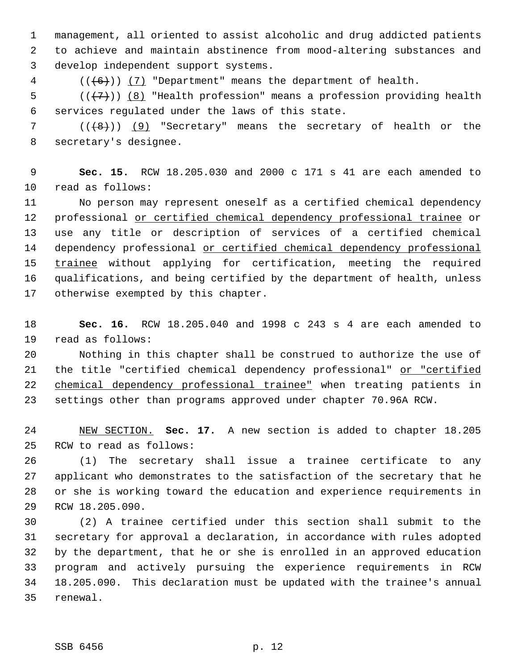management, all oriented to assist alcoholic and drug addicted patients to achieve and maintain abstinence from mood-altering substances and develop independent support systems.

(( $(6)$ )) (7) "Department" means the department of health.

5  $((\langle 7 \rangle) \; (8)$  "Health profession" means a profession providing health services regulated under the laws of this state.

 $((\{8\})$   $(9)$  "Secretary" means the secretary of health or the secretary's designee.

 **Sec. 15.** RCW 18.205.030 and 2000 c 171 s 41 are each amended to read as follows:

 No person may represent oneself as a certified chemical dependency professional or certified chemical dependency professional trainee or use any title or description of services of a certified chemical 14 dependency professional or certified chemical dependency professional 15 trainee without applying for certification, meeting the required qualifications, and being certified by the department of health, unless otherwise exempted by this chapter.

 **Sec. 16.** RCW 18.205.040 and 1998 c 243 s 4 are each amended to read as follows:

 Nothing in this chapter shall be construed to authorize the use of 21 the title "certified chemical dependency professional" or "certified chemical dependency professional trainee" when treating patients in settings other than programs approved under chapter 70.96A RCW.

 NEW SECTION. **Sec. 17.** A new section is added to chapter 18.205 RCW to read as follows:

 (1) The secretary shall issue a trainee certificate to any applicant who demonstrates to the satisfaction of the secretary that he or she is working toward the education and experience requirements in RCW 18.205.090.

 (2) A trainee certified under this section shall submit to the secretary for approval a declaration, in accordance with rules adopted by the department, that he or she is enrolled in an approved education program and actively pursuing the experience requirements in RCW 18.205.090. This declaration must be updated with the trainee's annual renewal.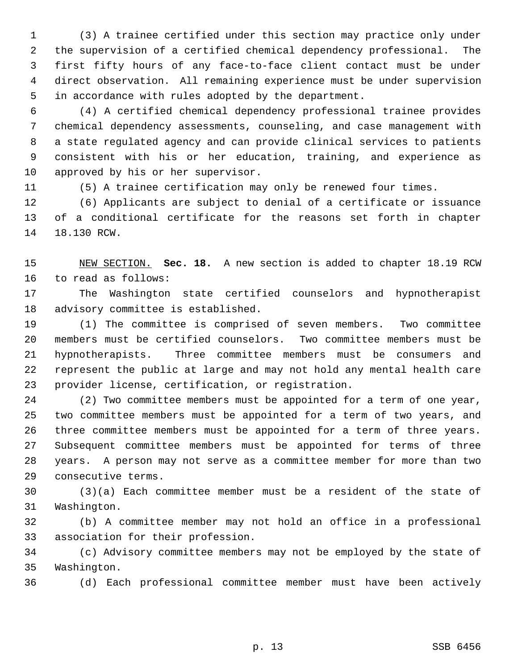(3) A trainee certified under this section may practice only under the supervision of a certified chemical dependency professional. The first fifty hours of any face-to-face client contact must be under direct observation. All remaining experience must be under supervision in accordance with rules adopted by the department.

 (4) A certified chemical dependency professional trainee provides chemical dependency assessments, counseling, and case management with a state regulated agency and can provide clinical services to patients consistent with his or her education, training, and experience as approved by his or her supervisor.

(5) A trainee certification may only be renewed four times.

 (6) Applicants are subject to denial of a certificate or issuance of a conditional certificate for the reasons set forth in chapter 18.130 RCW.

 NEW SECTION. **Sec. 18.** A new section is added to chapter 18.19 RCW to read as follows:

 The Washington state certified counselors and hypnotherapist advisory committee is established.

 (1) The committee is comprised of seven members. Two committee members must be certified counselors. Two committee members must be hypnotherapists. Three committee members must be consumers and represent the public at large and may not hold any mental health care provider license, certification, or registration.

 (2) Two committee members must be appointed for a term of one year, two committee members must be appointed for a term of two years, and three committee members must be appointed for a term of three years. Subsequent committee members must be appointed for terms of three years. A person may not serve as a committee member for more than two consecutive terms.

 (3)(a) Each committee member must be a resident of the state of Washington.

 (b) A committee member may not hold an office in a professional association for their profession.

 (c) Advisory committee members may not be employed by the state of Washington.

(d) Each professional committee member must have been actively